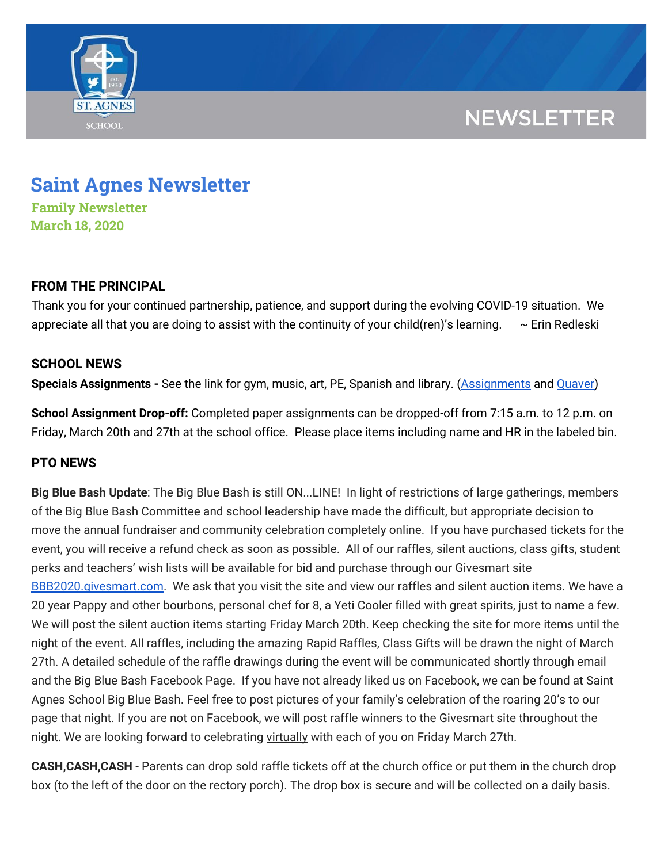

## **NEWSLETTER**

# **Saint Agnes Newsletter**

**Family Newsletter March 18, 2020**

#### **FROM THE PRINCIPAL**

Thank you for your continued partnership, patience, and support during the evolving COVID-19 situation. We appreciate all that you are doing to assist with the continuity of your child(ren)'s learning.  $\sim$  Erin Redleski

### **SCHOOL NEWS**

**Specials Assignments -** See the link for gym, music, art, PE, Spanish and library. ([Assignments](https://school.saintagnes.com/wp-content/uploads/2020/03/Specials-Teachers-Activities-COVID19-March-20.pdf) and [Quaver\)](https://school.saintagnes.com/wp-content/uploads/2020/03/Quaver-Music-Quick-Reference-Guide.pdf)

**School Assignment Drop-off:** Completed paper assignments can be dropped-off from 7:15 a.m. to 12 p.m. on Friday, March 20th and 27th at the school office. Please place items including name and HR in the labeled bin.

### **PTO NEWS**

**Big Blue Bash Update**: The Big Blue Bash is still ON...LINE! In light of restrictions of large gatherings, members of the Big Blue Bash Committee and school leadership have made the difficult, but appropriate decision to move the annual fundraiser and community celebration completely online. If you have purchased tickets for the event, you will receive a refund check as soon as possible. All of our raffles, silent auctions, class gifts, student perks and teachers' wish lists will be available for bid and purchase through our Givesmart site [BBB2020.givesmart.com](http://bbb2020.givesmart.com/). We ask that you visit the site and view our raffles and silent auction items. We have a 20 year Pappy and other bourbons, personal chef for 8, a Yeti Cooler filled with great spirits, just to name a few. We will post the silent auction items starting Friday March 20th. Keep checking the site for more items until the night of the event. All raffles, including the amazing Rapid Raffles, Class Gifts will be drawn the night of March 27th. A detailed schedule of the raffle drawings during the event will be communicated shortly through email and the Big Blue Bash Facebook Page. If you have not already liked us on Facebook, we can be found at Saint Agnes School Big Blue Bash. Feel free to post pictures of your family's celebration of the roaring 20's to our page that night. If you are not on Facebook, we will post raffle winners to the Givesmart site throughout the night. We are looking forward to celebrating virtually with each of you on Friday March 27th.

**CASH,CASH,CASH** - Parents can drop sold raffle tickets off at the church office or put them in the church drop box (to the left of the door on the rectory porch). The drop box is secure and will be collected on a daily basis.